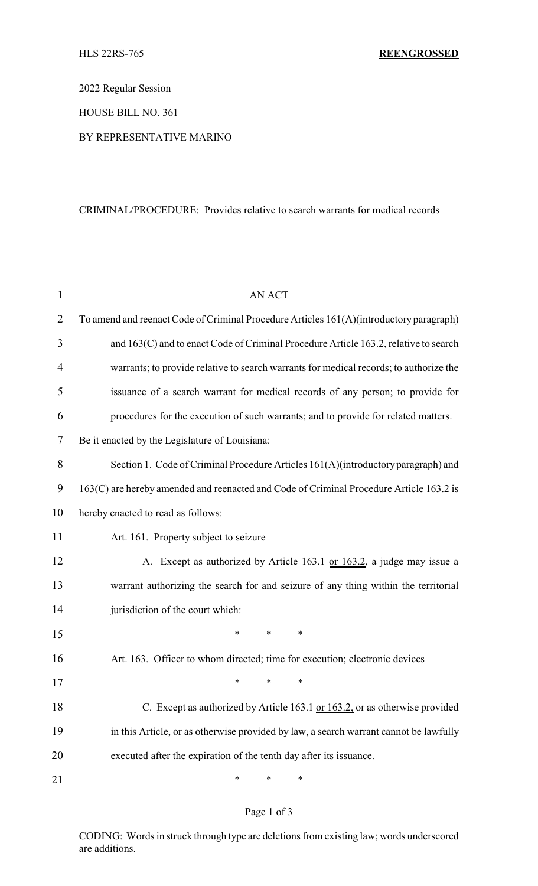2022 Regular Session

HOUSE BILL NO. 361

## BY REPRESENTATIVE MARINO

## CRIMINAL/PROCEDURE: Provides relative to search warrants for medical records

| $\mathbf{1}$   | <b>AN ACT</b>                                                                           |  |  |  |
|----------------|-----------------------------------------------------------------------------------------|--|--|--|
| $\overline{2}$ | To amend and reenact Code of Criminal Procedure Articles 161(A)(introductory paragraph) |  |  |  |
| 3              | and 163(C) and to enact Code of Criminal Procedure Article 163.2, relative to search    |  |  |  |
| 4              | warrants; to provide relative to search warrants for medical records; to authorize the  |  |  |  |
| 5              | issuance of a search warrant for medical records of any person; to provide for          |  |  |  |
| 6              | procedures for the execution of such warrants; and to provide for related matters.      |  |  |  |
| 7              | Be it enacted by the Legislature of Louisiana:                                          |  |  |  |
| 8              | Section 1. Code of Criminal Procedure Articles 161(A)(introductory paragraph) and       |  |  |  |
| 9              | 163(C) are hereby amended and reenacted and Code of Criminal Procedure Article 163.2 is |  |  |  |
| 10             | hereby enacted to read as follows:                                                      |  |  |  |
| 11             | Art. 161. Property subject to seizure                                                   |  |  |  |
| 12             | A. Except as authorized by Article 163.1 or 163.2, a judge may issue a                  |  |  |  |
| 13             | warrant authorizing the search for and seizure of any thing within the territorial      |  |  |  |
| 14             | jurisdiction of the court which:                                                        |  |  |  |
| 15             | ∗<br>∗<br>∗                                                                             |  |  |  |
| 16             | Art. 163. Officer to whom directed; time for execution; electronic devices              |  |  |  |
| 17             | ∗<br>$\ast$<br>∗                                                                        |  |  |  |
| 18             | C. Except as authorized by Article 163.1 or 163.2, or as otherwise provided             |  |  |  |
| 19             | in this Article, or as otherwise provided by law, a search warrant cannot be lawfully   |  |  |  |
| 20             | executed after the expiration of the tenth day after its issuance.                      |  |  |  |
| 21             | ∗<br>∗<br>∗                                                                             |  |  |  |

## Page 1 of 3

CODING: Words in struck through type are deletions from existing law; words underscored are additions.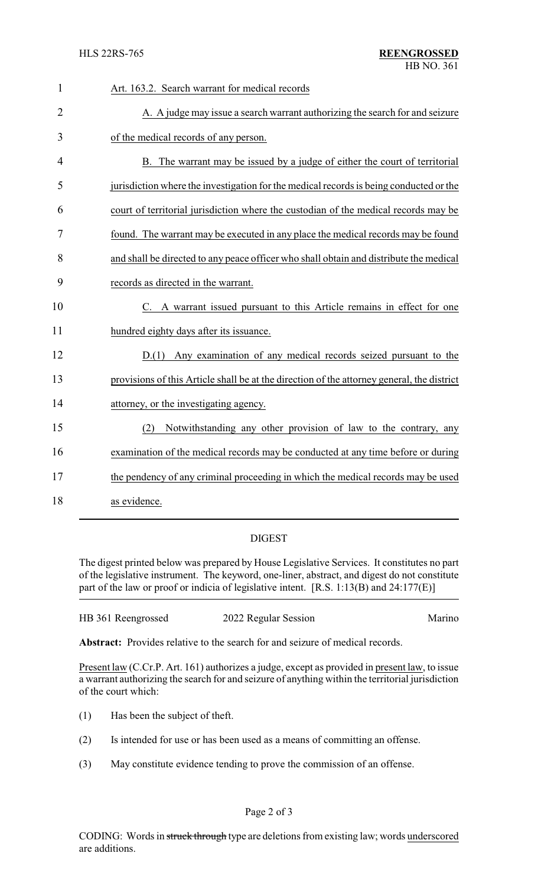| $\mathbf{1}$   | Art. 163.2. Search warrant for medical records                                             |
|----------------|--------------------------------------------------------------------------------------------|
| $\overline{2}$ | A. A judge may issue a search warrant authorizing the search for and seizure               |
| 3              | of the medical records of any person.                                                      |
| 4              | B. The warrant may be issued by a judge of either the court of territorial                 |
| 5              | jurisdiction where the investigation for the medical records is being conducted or the     |
| 6              | court of territorial jurisdiction where the custodian of the medical records may be        |
| 7              | found. The warrant may be executed in any place the medical records may be found           |
| 8              | and shall be directed to any peace officer who shall obtain and distribute the medical     |
| 9              | records as directed in the warrant.                                                        |
| 10             | C. A warrant issued pursuant to this Article remains in effect for one                     |
| 11             | hundred eighty days after its issuance.                                                    |
| 12             | D.(1) Any examination of any medical records seized pursuant to the                        |
| 13             | provisions of this Article shall be at the direction of the attorney general, the district |
| 14             | attorney, or the investigating agency.                                                     |
| 15             | Notwithstanding any other provision of law to the contrary, any<br>(2)                     |
| 16             | examination of the medical records may be conducted at any time before or during           |
| 17             | the pendency of any criminal proceeding in which the medical records may be used           |
| 18             | as evidence.                                                                               |

## DIGEST

The digest printed below was prepared by House Legislative Services. It constitutes no part of the legislative instrument. The keyword, one-liner, abstract, and digest do not constitute part of the law or proof or indicia of legislative intent. [R.S. 1:13(B) and 24:177(E)]

| HB 361 Reengrossed | 2022 Regular Session | Marino |
|--------------------|----------------------|--------|
|                    |                      |        |

**Abstract:** Provides relative to the search for and seizure of medical records.

Present law (C.Cr.P. Art. 161) authorizes a judge, except as provided in present law, to issue a warrant authorizing the search for and seizure of anything within the territorial jurisdiction of the court which:

- (1) Has been the subject of theft.
- (2) Is intended for use or has been used as a means of committing an offense.
- (3) May constitute evidence tending to prove the commission of an offense.